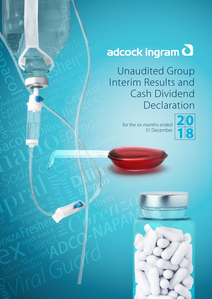# adcock ingram **d**

Unaudited Group Interim Results and Cash Dividend Declaration

> for the six months ended 31 December

Pacado Record

Medi-Keel A

SOCIETISMS

Cepaco Panado Panado Panado Panado Panado Panado Panado Panado Panado Panado Panado Panado Panado Panado Panado

SOCIAL

Acol

Rdco-Mayogel

Suspension

Freshen

**MOUTHERMAN AND EXPERIENCE** 

Citro Sollo

Adco-Mayogel A

Freshen

LPIM

CONSIDERED

Bioplus

Repersion GUY

*Allergex*

CEP3 M

Actor Actor

**Dilinct** 

Acceptiem

**Supple 1999** 

Addition

Citizen du gro

Physical Rex

**Adco-Mayole** 

EP Mind

 $\frac{1}{2}$ 

Cercitor

OM CL

French

BIO 500

**Blog**dus

**Dilington** 

ARY SOUGAMOL

MEON SOLID

A CO-NAP



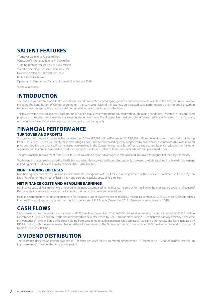### **SALIENT FEATURES**

\*Turnover up 16% to R3,595 million \*Gross profit improves 18% to R1,390 million \*Trading profit increases 17% to R485 million \*Headline earnings per share increases 16% Dividend declared: 100 cents per share B-BBEE level 3 achieved Operation in Zimbabwe (Datlabs) disposed of in January 2019

*\*Continuing operations*

### **INTRODUCTION**

The Board is pleased to report that the business operations posted encouraging growth and commendable results in the half year under review, including the contribution of Genop, acquired on 1 January 2018. Each of the business units posted solid performance, achieving good growth in turnover, with disciplined cost control, yielding growth in trading profits across the board.

The results were achieved against a background of a price-regulated environment, coupled with tough trading conditions, reflected in the continued pressure on the consumer due to the macro-economic environment. The Group's diversified portfolio remained resilient with growth in market share, with continued relentless focus on customer service and product quality.

#### **FINANCIAL PERFORMANCE TURNOVER AND PROFITS**

Turnover during the period under review increased by 15.6% to R3,595 million (December 2017: R3,108 million), benefiting from the inclusion of Genop from 1 January 2018. On a like-for-like basis (excluding Genop), turnover increased by 7.4%, supported by an increase in volume of 5.0%, with mix and price contributing the balance. Price increases were realised in the Consumer segment, but offset to a large extent by price reductions in the other segments due to competitive market conditions and pressure from Funders to lower prices of certain Prescription medicines.

The gross margin improvement from 38.0% to 38.7% was driven by an advantageous sales mix and improved throughput at the Clayville factory.

Total operating expenses increased by 18.4%, but excluding Genop, were well controlled and only increased by 6.2%, resulting in a 16.6% improvement in trading profit to R485.5 million (December 2017: R416.3 million).

#### **NON-TRADING EXPENSES**

Non-trading expenses of R28.5 million include share-based expenses of R19.4 million, an impairment of the associate investment in Ghana (Ayrton Drug Manufacturing Limited) of R5.8 million and corporate activity costs of R3.3 million.

#### **NET FINANCE COSTS AND HEADLINE EARNINGS**

Net finance costs of R8.5 million were incurred in the period, compared to net finance income of R0.7 million in the prior period and are reflective of the decrease in cash resources after the Genop acquisition in the previous financial year.

Headline earnings from continuing operations for the period under review increased to R361.2 million (December 2017: R310.3 million). This translates into headline earnings per share from continuing operations of 217.2 cents (December 2017: 186.6 cents), an increase of 16.4%.

### **CASH FLOWS**

Cash generated from operations amounted to R328.6 million (December 2017: R455.9 million) after working capital increased by R253.2 million (December 2017: R85.7 million). Trade and other payables have decreased by R211.4 million since June 2018, which was partially offset by a decrease in inventories (R109.6 million) as the stock holding from certain multinational partners has decreased. Trade and other receivables have increased by R151.4 million, with the festive season having delayed some receipts. The Group had net cash resources of R109.1 million at the end of the period (June 2018: R155.7 million).

### **DIVIDEND DISTRIBUTION**

The Board has declared an interim dividend of 100 cents per share for the six-month period ended 31 December 2018, out of income reserves, an improvement of 16% over the comparable period.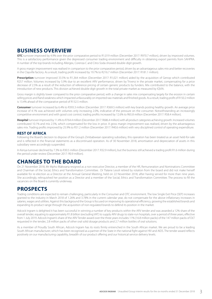### **BUSINESS OVERVIEW**

**OTC** turnover improved by 4.9% over the prior comparative period to R1,019 million (December 2017: R970.7 million), driven by improved volumes. This is a satisfactory performance given the depressed consumer trading environment and difficulty in obtaining export permits from SAHPRA. A number of the top brands including Allergex, Corenza C and Citro-Soda showed double-digit growth.

A gross margin improvement was realised in comparison to the prior comparative period, driven by an advantageous sales mix and better recoveries in the Clayville factory. As a result, trading profit increased by 19.7% to R216.7 million (December 2017: R181.1 million).

**Prescription** turnover improved 33.5% to R1.364 million (December 2017: R1.021 million) aided by the acquisition of Genop which contributed R257 million. Volumes increased by 5.9% due to an excellent ARV performance, driven by Trivenz in the private market, compensating for a price decrease of 2.5% as a result of the reduction of reference pricing of certain generic products by funders. Mix contributed to the balance, with the introduction of new products. This division achieved double digit growth in the total private market as measured by IQVIA.

Gross margin is slightly lower compared to the prior comparative period, with a change in sales mix compensating largely for the erosion in certain selling prices and Rand weakness which impacted unfavourably on imported raw materials and finished goods. As a result, trading profit of R150.2 million is 13.4% ahead of the comparative period of R132.5 million.

**Consumer** turnover increased by 6.4% to R393.3 million (December 2017: R369.5 million) with key brands posting healthy growth. An average price increase of 4.1% was achieved with volumes only increasing 2.0%, indicative of the pressure on the consumer. Notwithstanding an increasingly competitive environment and with good cost control, trading profits increased by 12.6% to R65.8 million (December 2017: R58.4 million).

**Hospital** turnover improved by 11.4% to R764.4 million (December 2017: R686.4 million) with all product categories achieving growth. Increased volumes contributed 10.1% and mix 2.5%, which compensated for the loss in price. A gross margin improvement was realised, driven by the advantageous sales mix. Trading profits improved by 25.9% to R51.2 million (December 2017: R40.6 million) with very disciplined control of operating expenditure.

#### **REST OF AFRICA**

Following the Board's decision to dispose of the Group's Zimbabwean operating subsidiary, this operation has been treated as an asset held-for-sale and is reflected in the financial statements as a discontinued operation. As of 30 November 2018, amortisation and depreciation of assets in this subsidiary were accordingly suspended.

In Kenya turnover declined by 7.3% to R30.5 million (December 2017: R32.9 million), but the business still achieved a trading profit R1.6 million during the period under review (December 2017: R0.9 million).

### **CHANGES TO THE BOARD**

On 21 November 2018, Mr Mpho Makwana resigned as a non-executive Director, a member of the HR, Remuneration and Nominations Committee and Chairman of the Social, Ethics and Transformation Committee. Dr Tlalane Lesoli retired by rotation from the board and did not make herself available for re-election as a Director at the Annual General Meeting, held on 22 November 2018, after having served for more than nine years. She accordingly, relinquished her position as a Director and a member of the Social, Ethics and Transformation Committee. The process to fill the vacancies on the Board is currently underway.

### **PROSPECTS**

Trading conditions are expected to remain challenging, particularly in the Consumer and OTC environment. The low Single Exit Price (SEP) increases granted to the industry in March 2018 of 1.26% and 3.78% in the current calendar year, do not compensate for the above inflationary increases in salaries, wages and utilities. Against this background the Group is focused on improving its operational efficiency, growing the established brands and expanding its product range through the acquisition of non-regulated brands to defend its position in the market.

Adcock Ingram is delighted it has been successful in winning a number of key products within the ARV tender and was awarded a 12% share of the overall tender, equating to approximately R1.8 billion (excluding VAT) to supply ARV drugs to state-run hospitals, over a period of three years, effective from 1 July 2019. Adcock Ingram's share of the ARV Tender award over the three years includes 11% (16.8 million packs) of the 147 million packs of DLT requested in the tender, 2.8 million packs of other oral solid dosage products and 2.7 million bottles of oral solutions.

As a member of Proudly South African, Adcock Ingram has its roots firmly entrenched in the South African market. We are proud to be a leading South African manufacturer, which has been recognised as a partner of the State in the national fight against HIV and AIDS. The tender award reflects positively on our manufacturing capability, breadth of our product offering and our historical service delivery levels.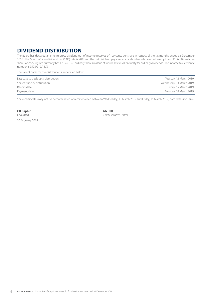### **DIVIDEND DISTRIBUTION**

The Board has declared an interim gross dividend out of income reserves of 100 cents per share in respect of the six months ended 31 December 2018. The South African dividend tax ("DT") rate is 20% and the net dividend payable to shareholders who are not exempt from DT is 80 cents per share. Adcock Ingram currently has 175 748 048 ordinary shares in issue of which 149 905 089 qualify for ordinary dividends. The income tax reference number is 9528/919/15/3.

The salient dates for the distribution are detailed below:

Last date to trade *cum* distribution Tuesday, 12 March 2019 Shares trade *ex* distribution **Example 2019** Shares trade *ex* distribution **Wednesday, 13 March 2019** Record date **Friday, 15 March 2019** Friday, 15 March 2019 Payment date Monday, 18 March 2019

Share certificates may not be dematerialised or rematerialised between Wednesday, 13 March 2019 and Friday, 15 March 2019, both dates inclusive.

**CD Raphiri AG Hall**<br>Chairman **AG Hall** 

*Chief Executive Officer* 

20 February 2019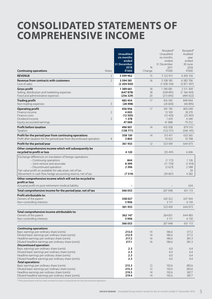### **CONSOLIDATED STATEMENTS OF COMPREHENSIVE INCOME**

| <b>Continuing operations</b><br><b>Notes</b>                                                                                                                                                                                                                              |                                  | <b>Unaudited</b><br>six months<br>ended<br>31 December<br>2018<br><b>R'000</b> | $\%$<br>Change       | Restated*<br>Unaudited<br>six months<br>ended<br>31 December<br>2017<br>R'000 | Restated*<br>Audited<br>year<br>ended<br>30 June<br>2018<br>R'000 |
|---------------------------------------------------------------------------------------------------------------------------------------------------------------------------------------------------------------------------------------------------------------------------|----------------------------------|--------------------------------------------------------------------------------|----------------------|-------------------------------------------------------------------------------|-------------------------------------------------------------------|
| <b>REVENUE</b>                                                                                                                                                                                                                                                            | $\overline{2}$                   | 3 599 962                                                                      | 15                   | 3 122 913                                                                     | 6 405 316                                                         |
| <b>Revenue from contracts with customers</b><br>Cost of sales                                                                                                                                                                                                             | $\overline{2}$                   | 3 594 581<br>(2204920)                                                         | 16                   | 3 108 185<br>(1928104)                                                        | 6 382 706<br>(3871397)                                            |
| <b>Gross profit</b><br>Selling, distribution and marketing expenses<br>Fixed and administrative expenses                                                                                                                                                                  |                                  | 1 389 661<br>(647878)<br>(256 329)                                             | 18<br>18<br>20       | 1 180 081<br>(549891)<br>(213 845)                                            | 2 511 309<br>(1166443)<br>(494922)                                |
| <b>Trading profit</b><br>Non-trading expenses                                                                                                                                                                                                                             | 3                                | 485 454<br>(28498)                                                             | 17                   | 416 345<br>(24600)                                                            | 849 944<br>(46895)                                                |
| <b>Operating profit</b><br>Finance income<br>Finance costs<br>Dividend income<br>Equity-accounted earnings                                                                                                                                                                | $\overline{2}$<br>$\overline{2}$ | 456956<br>4003<br>(12505)<br>1378<br>47069                                     | 17                   | 391 745<br>13 109<br>(12433)<br>1 6 1 9<br>41 888                             | 803 049<br>18 270<br>(25 401)<br>4 3 4 0<br>79 25 2               |
| <b>Profit before taxation</b><br>Taxation                                                                                                                                                                                                                                 |                                  | 496 901<br>(138771)                                                            | 14                   | 435 928<br>(122 511)                                                          | 879 510<br>(246 145)                                              |
| Profit for the period/year from continuing operations<br>Profit after taxation for the period/year from discontinued operation                                                                                                                                            | $\overline{4}$                   | 358 130<br>3803                                                                | 14                   | 313 417<br>10 0 22                                                            | 633 365<br>10 708                                                 |
| Profit for the period/year                                                                                                                                                                                                                                                |                                  | 361933                                                                         | 12                   | 323 439                                                                       | 644 073                                                           |
| Other comprehensive income which will subsequently be<br>recycled to profit or loss                                                                                                                                                                                       |                                  | 4 1 2 0                                                                        |                      | (55 491)                                                                      | 6406                                                              |
| Exchange differences on translation of foreign operations:<br>- Continuing operations<br>- Joint venture and associate<br>- Discontinued operation<br>Fair value profit on available-for-sale asset, net of tax                                                           |                                  | 844<br>8399<br>2 3 9 6                                                         |                      | (1172)<br>(11 729)<br>(2623)                                                  | 1 1 2 6<br>(1914)<br>2588<br>24                                   |
| Movement in cash flow hedge accounting reserve, net of tax                                                                                                                                                                                                                |                                  | (7519)                                                                         |                      | (39967)                                                                       | 4582                                                              |
| Other comprehensive income which will not be recycled to<br>profit or loss<br>Actuarial profit on post-retirement medical liability                                                                                                                                       |                                  |                                                                                |                      |                                                                               | 634                                                               |
| Total comprehensive income for the period/year, net of tax                                                                                                                                                                                                                |                                  | 366053                                                                         |                      | 267 948                                                                       | 651 113                                                           |
| Profit attributable to:<br>Owners of the parent<br>Non-controlling interests                                                                                                                                                                                              |                                  | 358027<br>3906                                                                 |                      | 320 322<br>3 1 1 7                                                            | 637 943<br>6 130                                                  |
|                                                                                                                                                                                                                                                                           |                                  | 361 933                                                                        |                      | 323 439                                                                       | 644 073                                                           |
| Total comprehensive income attributable to:<br>Owners of the parent<br>Non-controlling interests                                                                                                                                                                          |                                  | 362 147<br>3906                                                                |                      | 264 831<br>3 1 1 7                                                            | 644 983<br>6 1 3 0                                                |
|                                                                                                                                                                                                                                                                           |                                  | 366053                                                                         |                      | 267 948                                                                       | 651 113                                                           |
| <b>Continuing operations:</b><br>Basic earnings per ordinary share (cents)<br>Diluted basic earnings per ordinary share (cents)<br>Headline earnings per ordinary share (cents)<br>Diluted headline earnings per ordinary share (cents)<br><b>Discontinued operation:</b> |                                  | 213.0<br>212.9<br>217.2<br>217.1                                               | 14<br>14<br>16<br>16 | 186.6<br>186.6<br>186.6<br>186.6                                              | 377.2<br>377.2<br>381.3<br>381.3                                  |
| Basic earnings per ordinary share (cents)<br>Diluted basic earnings per ordinary share (cents)<br>Headline earnings per ordinary share (cents)<br>Diluted headline earnings per ordinary share (cents)<br><b>Total operations:</b>                                        |                                  | 2.3<br>2.3<br>2.3<br>2.3                                                       |                      | 6.0<br>6.0<br>6.0<br>6.0                                                      | 6.4<br>6.4<br>6.4<br>6.4                                          |
| Basic earnings per ordinary share (cents)<br>Diluted basic earnings per ordinary share (cents)<br>Headline earnings per ordinary share (cents)<br>Diluted headline earnings per ordinary share (cents)                                                                    |                                  | 215.3<br>215.2<br>219.5<br>219.4                                               | 12<br>12<br>14<br>14 | 192.6<br>192.6<br>192.6<br>192.6                                              | 383.6<br>383.6<br>387.7<br>387.7                                  |

*\* Prior period/year-end has been restated to show comparatives for the discontinued operation.*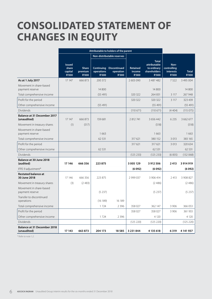## **CONSOLIDATED STATEMENT OF CHANGES IN EQUITY**

|                                                   | Attributable to holders of the parent             |                                         |                            |                                                             |                             |                                                                                    |                                                  |                              |
|---------------------------------------------------|---------------------------------------------------|-----------------------------------------|----------------------------|-------------------------------------------------------------|-----------------------------|------------------------------------------------------------------------------------|--------------------------------------------------|------------------------------|
|                                                   |                                                   |                                         |                            | Non-distributable reserves                                  |                             |                                                                                    |                                                  |                              |
|                                                   | <b>Issued</b><br>share<br>capital<br><b>R'000</b> | <b>Share</b><br>premium<br><b>R'000</b> | operations<br><b>R'000</b> | <b>Continuing Discontinued</b><br>operation<br><b>R'000</b> | Retained<br>income<br>R'000 | <b>Total</b><br>attributable<br>to ordinary<br><b>shareholders</b><br><b>R'000</b> | Non-<br>controlling<br>interests<br><b>R'000</b> | <b>Total</b><br><b>R'000</b> |
| As at 1 July 2017                                 | 17 147                                            | 666 873                                 | 200 372                    |                                                             | 2603090                     | 3 487 482                                                                          | 7522                                             | 3 495 004                    |
| Movement in share-based<br>payment reserve        |                                                   |                                         | 14 800                     |                                                             |                             | 14 800                                                                             |                                                  | 14 800                       |
| Total comprehensive income                        |                                                   |                                         | (55 491)                   |                                                             | 320 322                     | 264 831                                                                            | 3 1 1 7                                          | 267 948                      |
| Profit for the period                             |                                                   |                                         |                            |                                                             | 320 322                     | 320 322                                                                            | 3 1 1 7                                          | 323 439                      |
| Other comprehensive income                        |                                                   |                                         | (55 491)                   |                                                             |                             | (55 491)                                                                           |                                                  | (55491)                      |
| Dividends                                         |                                                   |                                         |                            |                                                             | (110671)                    | (110671)                                                                           | (4404)                                           | (115 075)                    |
| <b>Balance at 31 December 2017</b><br>(unaudited) | 17 147                                            | 666 873                                 | 159 681                    |                                                             | 2 812 741                   | 3 656 442                                                                          | 6 2 3 5                                          | 3 662 677                    |
| Movement in treasury shares                       | (1)                                               | (517)                                   |                            |                                                             |                             | (518)                                                                              |                                                  | (518)                        |
| Movement in share-based<br>payment reserve        |                                                   |                                         | 1 6 6 3                    |                                                             |                             | 1663                                                                               |                                                  | 1663                         |
| Total comprehensive income                        |                                                   |                                         | 62 531                     |                                                             | 317 621                     | 380 152                                                                            | 3 0 1 3                                          | 383 165                      |
| Profit for the period                             |                                                   |                                         |                            |                                                             | 317 621                     | 317 621                                                                            | 3 0 1 3                                          | 320 634                      |
| Other comprehensive income                        |                                                   |                                         | 62 531                     |                                                             |                             | 62 531                                                                             |                                                  | 62 531                       |
| Dividends                                         |                                                   |                                         |                            |                                                             | (125 233)                   | (125 233)                                                                          | (6835)                                           | (132068)                     |
| Balance at 30 June 2018<br>(audited)              | 17 14 6                                           | 666356                                  | 223875                     |                                                             | 3 005 129                   | 3 912 506                                                                          | 2413                                             | 3 914 919                    |
| IFRS 9 adjustment*                                |                                                   |                                         |                            |                                                             | (6092)                      | (6092)                                                                             |                                                  | (6092)                       |
| <b>Restated balance at</b><br>30 June 2018        | 17 14 6                                           | 666 356                                 | 223 875                    |                                                             | 2 999 037                   | 3 906 414                                                                          | 2 4 1 3                                          | 3 908 827                    |
| Movement in treasury shares                       | (3)                                               | (2483)                                  |                            |                                                             |                             | (2486)                                                                             |                                                  | (2486)                       |
| Movement in share-based<br>payment reserve        |                                                   |                                         | (5237)                     |                                                             |                             | (5237)                                                                             |                                                  | (5237)                       |
| Transfer to discontinued<br>operations            |                                                   |                                         | (16 189)                   | 16 189                                                      |                             |                                                                                    |                                                  |                              |
| Total comprehensive income                        |                                                   |                                         | 1 7 2 4                    | 2 3 9 6                                                     | 358 027                     | 362 147                                                                            | 3 9 0 6                                          | 366 053                      |
| Profit for the period                             |                                                   |                                         |                            |                                                             | 358 027                     | 358 027                                                                            | 3 9 0 6                                          | 361 933                      |
| Other comprehensive income                        |                                                   |                                         | 1 7 2 4                    | 2 3 9 6                                                     |                             | 4 1 2 0                                                                            |                                                  | 4 1 2 0                      |
| Dividends                                         |                                                   |                                         |                            |                                                             | (125 220)                   | (125 220)                                                                          |                                                  | (125 220)                    |
| <b>Balance at 31 December 2018</b><br>(unaudited) | 17 143                                            | 663873                                  | 204 173                    | 18585                                                       | 3 2 3 1 8 4 4               | 4 135 618                                                                          | 6319                                             | 4 141 937                    |

*\* Refer to note 1.2.*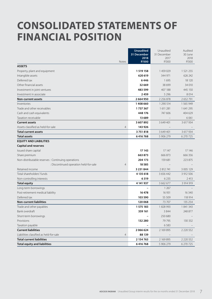## **CONSOLIDATED STATEMENTS OF FINANCIAL POSITION**

|                                                    |                | <b>Unaudited</b>     | Unaudited     | Audited       |
|----------------------------------------------------|----------------|----------------------|---------------|---------------|
|                                                    |                | 31 December          | 31 December   | 30 June       |
|                                                    | Notes          | 2018<br><b>R'000</b> | 2017<br>R'000 | 2018<br>R'000 |
| <b>ASSETS</b>                                      |                |                      |               |               |
| Property, plant and equipment                      |                | 1 519 158            | 1459029       | 1 521 255     |
| Intangible assets                                  |                | 620 619              | 344 971       | 626 242       |
| Deferred tax                                       |                | 6446                 | 1695          | 18 120        |
| Other financial assets                             |                | 32 669               | 38 699        | 34 010        |
| Investment in joint ventures                       |                | 483 599              | 407 188       | 445 150       |
| Investment in associate                            |                | 2459                 | 5 2 9 6       | 8 0 1 4       |
| <b>Non-current assets</b>                          |                | 2664950              | 2 2 5 6 8 7 8 | 2652791       |
| Inventories                                        |                | 1408660              | 1 290 514     | 1 5 6 5 9 4 9 |
| Trade and other receivables                        |                | 1737367              | 1 611 281     | 1 641 295     |
| Cash and cash equivalents                          |                | 448 176              | 747 606       | 404 629       |
| Taxation receivable                                |                | 13 689               |               | 6 0 6 1       |
| <b>Current assets</b>                              |                | 3 607 892            | 3 649 401     | 3 617 934     |
| Assets classified as held-for-sale                 | 4              | 143 926              |               |               |
| Total current assets                               |                | 3751818              | 3 649 401     | 3 617 934     |
| Total assets                                       |                | 6416768              | 5 906 279     | 6 270 725     |
| <b>EQUITY AND LIABILITIES</b>                      |                |                      |               |               |
| <b>Capital and reserves</b>                        |                |                      |               |               |
| Issued share capital                               |                | 17 143               | 17 147        | 17 14 6       |
| Share premium                                      |                | 663873               | 666 873       | 666 356       |
| Non-distributable reserves : Continuing operations |                | 204 173              | 159 681       | 223 875       |
| : Discontinued operation held-for-sale             | $\overline{4}$ | 18 5 8 5             |               |               |
| Retained income                                    |                | 3 2 3 1 8 4 4        | 2 812 741     | 3 005 129     |
| Total shareholders' funds                          |                | 4 135 618            | 3 656 442     | 3 912 506     |
| Non-controlling interests                          |                | 6319                 | 6 2 3 5       | 2 4 1 3       |
| <b>Total equity</b>                                |                | 4 141 937            | 3 662 677     | 3 914 919     |
| Long-term borrowings                               |                |                      | 1 2 6 7       |               |
| Post-retirement medical liability                  |                | 16478                | 16 931        | 16 340        |
| Deferred tax                                       |                | 103 590              | 55 509        | 118 914       |
| <b>Non-current liabilities</b>                     |                | 120 068              | 73 707        | 135 254       |
| Trade and other payables                           |                | 1 575 183            | 1828993       | 1 841 343     |
| Bank overdraft                                     |                | 359 161              | 3844          | 248 877       |
| Short-term borrowings                              |                |                      | 250 680       |               |
| Provisions                                         |                | 132 280              | 79 795        | 130 332       |
| Taxation payable                                   |                |                      | 6583          |               |
| <b>Current liabilities</b>                         |                | 2066624              | 2 169 895     | 2 2 2 0 5 5 2 |
| Liabilities classified as held-for-sale            | $\overline{4}$ | 88 139               |               |               |
| <b>Total current liabilities</b>                   |                | 2 154 763            | 2 169 895     | 2 2 2 0 5 5 2 |
| <b>Total equity and liabilities</b>                |                | 6416768              | 5 906 279     | 6 270 725     |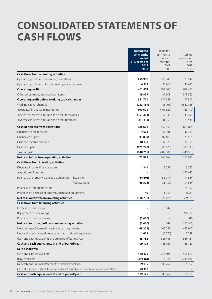## **CONSOLIDATED STATEMENTS OF CASH FLOWS**

|                                                                                  | <b>Unaudited</b>     | Unaudited            |                       |
|----------------------------------------------------------------------------------|----------------------|----------------------|-----------------------|
|                                                                                  | six months           | six months           | Audited               |
|                                                                                  | ended<br>31 December | ended<br>31 December | year ended<br>30 June |
|                                                                                  | 2018                 | 2017                 | 2018                  |
|                                                                                  | <b>R'000</b>         | R'000                | R'000                 |
| Cash flows from operating activities                                             |                      |                      |                       |
| Operating profit from continuing operations                                      | 456 956              | 391 745              | 803 049               |
| Operating profit from discontinued operation (note 4)                            | 4918                 | 11 915               | 16 4 33               |
| <b>Operating profit</b>                                                          | 461874               | 403 660              | 819 482               |
| Other adjustments and non-cash items                                             | 119897               | 137 901              | 378 360               |
| Operating profit before working capital changes                                  | 581771               | 541 561              | 1 197 842             |
| Working capital changes                                                          | (253 169)            | (85708)              | (342968)              |
| Decrease/(Increase) in inventories                                               | 109 603              | (166 620)            | (438199)              |
| (Increase)/Decrease in trade and other receivables                               | (151354)             | (50138)              | 11 695                |
| (Decrease)/Increase in trade and other payables                                  | (211 418)            | 131 050              | 83 5 36               |
| Cash generated from operations                                                   | 328 602              | 455 853              | 854 874               |
| Finance income received                                                          | 4074                 | 10 9 31              | 17 3 63               |
| Finance costs paid                                                               | (11839)              | (12818)              | (25605)               |
| Dividend income received                                                         | 18 131               | 17 378               | 30 100                |
| Dividends paid                                                                   | (125 220)            | (115075)             | (247143)              |
| Taxation paid                                                                    | (140755)             | (109505)             | (246663)              |
| Net cash inflow from operating activities                                        | 72993                | 246 764              | 382 926               |
| Cash flows from investing activities                                             |                      |                      |                       |
| Decrease in other financial assets                                               | 1341                 | 3 0 4 7              | 5 2 3 2               |
| Acquisition of business                                                          |                      |                      | (327623)              |
| Purchase of property, plant and equipment : Expansion                            | (54601)              | (56044)              | (84684)               |
| : Replacement                                                                    | (65525)              | (35780)              | (134 564)             |
| Purchase of intangible assets                                                    |                      |                      | (4450)                |
| Proceeds on disposal of property, plant and equipment                            | 49                   | 1953                 | 6911                  |
| Net cash outflow from investing activities                                       | (118736)             | (86 824)             | (539178)              |
| Cash flows from financing activities                                             |                      |                      |                       |
| Increase in borrowings                                                           |                      | 147                  |                       |
| Repayment of borrowings                                                          |                      |                      | (276 177)             |
| Purchase of treasury shares                                                      | (2486)               |                      | (518)                 |
| Net cash (outflow)/inflow from financing activities                              | (2486)               | 147                  | (276695)              |
| Net (decrease)/increase in cash and cash equivalents                             | (48229)              | 160 087              | (432947)              |
| Net foreign exchange difference on cash and cash equivalents                     | 1602                 | (2776)               | 2 2 4 8               |
| Cash and cash equivalents at beginning of period/year                            | 155 752              | 586 451              | 586 451               |
| Cash and cash equivalents at end of period/year                                  | 109 125              | 743 762              | 155 752               |
| <b>Split as follows:</b>                                                         |                      |                      |                       |
| Cash and cash equivalents                                                        | 448 176              | 747 606              | 404 629               |
| Bank overdraft                                                                   | (359 161)            | (3844)               | (248 877)             |
| Net cash position per statement of financial position                            | 89 015               | 743 762              | 155 752               |
| Cash at banks and short-term deposits attributable to the discontinued operation | 20 110               |                      |                       |
| Cash and cash equivalents at end of period/year                                  | 109 125              | 743 762              | 155 752               |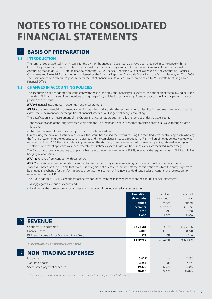## **NOTES TO THE CONSOLIDATED FINANCIAL STATEMENTS**

### 1 **BASIS OF PREPARATION**

#### **1.1 INTRODUCTION**

The summarised unaudited interim results for the six months ended 31 December 2018 have been prepared in compliance with the Listings Requirements of the JSE Limited, International Financial Reporting Standards (IFRS), the requirements of the International Accounting Standards (IAS) 34: Interim financial reporting, SAICA Financial Reporting Guidelines as issued by the Accounting Practices Committee and Financial Pronouncements as issued by the Financial Reporting Standards Council and the Companies Act, No. 71 of 2008. The Board of directors take full responsibility for the set of financial results which have been prepared by Ms Dorette Neethling, Chief Financial Officer.

#### **1.2 CHANGES IN ACCOUNTING POLICIES**

The accounting policies adopted are consistent with those of the previous financial year except for the adoption of the following new and amended IFRS standards and interpretations during the period, which did not have a significant impact on the financial performance or position of the Group:

*IFRS 9:* Financial instruments – recognition and measurement

**IFRS 9** is the new financial instrument accounting standard and includes the requirements for classification and measurement of financial assets, the impairment and derecognition of financial assets, as well as general hedge accounting.

The classification and measurement of the Group's financial assets are substantially the same as under IAS 39, except for:

- the reclassification of the long-term receivable from the Black Managers Share Trust, from amortised cost to fair value through profit or loss; and
- the measurement of the impairment provision for trade receivables.

In measuring the provision for trade receivables, the Group has applied the new rules using the modified retrospective approach, whereby the financial statements are retrospectively adjusted and the cumulative impact (a reduction of R6.1 million of net trade receivables) was recorded on 1 July 2018, the initial date of implementing the standard, by recognising an adjustment to opening retained earnings. A simplified impairment approach was used, whereby the lifetime expected losses on trade receivables are recorded immediately.

The Group has chosen to continue to apply the hedge accounting requirements of IAS 39, instead of the requirements in IFRS 9, to all of its hedging relationships.

*IFRS 15:* Revenue from contracts with customers

*IFRS 15* establishes a five-step model for entities to use in accounting for revenue arising from contracts with customers. The new standard is based on the principle that revenue is recognised at an amount that reflects the consideration to which the entity expects to be entitled in exchange for transferring goods or services to a customer. The new standard supersedes all current revenue recognition requirements under IFRS.

The Group adopted IFRS 15 using the retrospective approach, with the following impact on the Group's financial statements:

- disaggregated revenue disclosure; and
- liabilities for the non-performance on customer contracts will be recognised against revenue.

|                                                            | <b>Unaudited</b> | Unaudited   | Audited   |
|------------------------------------------------------------|------------------|-------------|-----------|
|                                                            | six months       | six months  | year      |
|                                                            | ended            | ended       | ended     |
|                                                            | 31 December      | 31 December | 30 June   |
|                                                            | 2018             | 2017        | 2018      |
|                                                            | <b>R'000</b>     | R'000       | R'000     |
| <b>REVENUE</b>                                             |                  |             |           |
| Contracts with customers*                                  | 3 594 581        | 3 108 185   | 6 382 706 |
| Finance income                                             | 4003             | 13 109      | 18 270    |
| Dividend income - Black Managers Share Trust               | 1 3 7 8          | 1 6 1 9     | 4 3 4 0   |
|                                                            | 3 599 962        | 3 122 913   | 6405316   |
| *Refer note 5.2 for customer contract and channel details. |                  |             |           |

3 **NON-TRADING EXPENSES**

| Impairments                  | 5 823** | $\overline{\phantom{a}}$ | 5 2 3 5 |
|------------------------------|---------|--------------------------|---------|
| Transaction costs            | 3 2 5 3 | 7316                     | 7 315   |
| Share-based payment expenses | 19422   | 17 284                   | 34 3 45 |
|                              | 28 4 98 | 24 600                   | 46895   |

*\*\* The investment in the Ghanaian associate has been impaired due to its declining operational performance.*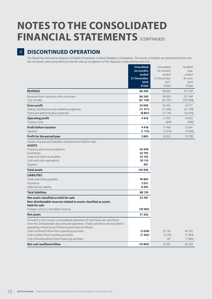## **NOTES TO THE CONSOLIDATED FINANCIAL STATEMENTS** (CONTINUED)

### 4 **DISCONTINUED OPERATION**

The Board has resolved to dispose of Datlabs Proprietary Limited (Datlabs) in Zimbabwe. The results of Datlabs are presented below and the net assets were reclassified as held-for-sale as completion of the disposal is expected by year end.

|                                                                              | <b>Unaudited</b> | Unaudited   | Audited   |
|------------------------------------------------------------------------------|------------------|-------------|-----------|
|                                                                              | six months       | six months  | year      |
|                                                                              | ended            | ended       | ended     |
|                                                                              | 31 December      | 31 December | 30 June   |
|                                                                              | 2018             | 2017        | 2018      |
|                                                                              | <b>R'000</b>     | R'000       | R'000     |
| <b>REVENUE</b>                                                               | 86 240           | 90 839      | 157 549   |
| Revenue from contracts with customers                                        | 86 240           | 90 839      | 157 549   |
| Cost of sales                                                                | (61150)          | (55 537)    | (102 838) |
| <b>Gross profit</b>                                                          | 25 090           | 35 302      | 54 711    |
| Selling, distribution and marketing expenses                                 | (11371)          | (11646)     | (21799)   |
| Fixed and administrative expenses                                            | (8801)           | (11 741)    | (16 479)  |
| <b>Operating profit</b>                                                      | 4918             | 11 915      | 16 433    |
| Finance costs                                                                |                  | (419)       | (786)     |
| <b>Profit before taxation</b>                                                | 4918             | 11 4 9 6    | 15 647    |
| Taxation                                                                     | (1115)           | (1474)      | (4939)    |
| Profit for the period/year                                                   | 3803             | 10 0 22     | 10 708    |
| Details of assets and liabilities transferred to held-for-sale:              |                  |             |           |
| <b>ASSETS</b>                                                                |                  |             |           |
| Property, plant and equipment                                                | 45458            |             |           |
| Inventories                                                                  | 25 795           |             |           |
| Trade and other receivables                                                  | 52 162           |             |           |
| Cash and cash equivalents                                                    | 20 110           |             |           |
| Taxation                                                                     | 401              |             |           |
| <b>Total assets</b>                                                          | 143 926          |             |           |
| <b>LIABILITIES</b>                                                           |                  |             |           |
| Trade and other payables                                                     | 76803            |             |           |
| Provisions                                                                   | 3031             |             |           |
| Deferred tax liability                                                       | 8305             |             |           |
| <b>Total liabilities</b>                                                     | 88 139           |             |           |
| Net assets classified as held-for-sale                                       | 55787            |             |           |
| Non-distributable reserves related to assets classified as assets            |                  |             |           |
| held-for-sale                                                                |                  |             |           |
| Foreign currency translation reserve                                         | (18585)          |             |           |
| <b>Net assets</b>                                                            | 37 202           |             |           |
| Included in the Group's consolidated statement of cash flows are cash flows  |                  |             |           |
| from the Zimbabwean discontinued operation. These cash flows are included in |                  |             |           |
| operating, investing and financing activities as follows:                    |                  |             |           |
| Cash (outflow)/inflow from operating activities                              | (3630)           | 35 7 30     | 40 165    |
| Cash outflow from investing activities                                       | (7262)           | (2516)      | (7964)    |
| Cash inflow/(outflow) from financing activities                              |                  | 147         | (1881)    |
| Net cash (outflow)/inflow                                                    | (10892)          | 33 361      | 30 320    |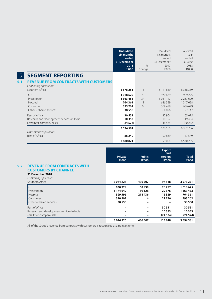|                                                                        | <b>Unaudited</b><br>six months<br>ended<br>31 December<br>2018<br><b>R'000</b> | $\%$<br>Change | Unaudited<br>six months<br>ended<br>31 December<br>2017<br>R'000 | Audited<br>year<br>ended<br>30 June<br>2018<br>R'000 |
|------------------------------------------------------------------------|--------------------------------------------------------------------------------|----------------|------------------------------------------------------------------|------------------------------------------------------|
| <b>SEGMENT REPORTING</b>                                               |                                                                                |                |                                                                  |                                                      |
| <b>REVENUE FROM CONTRACTS WITH CUSTOMERS</b><br>Continuing operations: |                                                                                |                |                                                                  |                                                      |
| Southern Africa                                                        | 3 5 7 8 2 5 1                                                                  | 15             | 3 111 649                                                        | 6338389                                              |
| <b>OTC</b>                                                             | 1018625                                                                        | 5              | 970 669                                                          | 1989225                                              |
| Prescription                                                           | 1 3 6 3 4 5 3                                                                  | 34             | 1021117                                                          | 2237620                                              |
| Hospital                                                               | 764 361                                                                        | 11             | 686359                                                           | 1 347 698                                            |
| Consumer                                                               | 393 262                                                                        | 6              | 369478                                                           | 686 699                                              |
| Other - shared services                                                | 38 550                                                                         |                | 64026                                                            | 77 147                                               |
| Rest of Africa                                                         | 30 551                                                                         |                | 32 904                                                           | 65 0 75                                              |
| Research and development services in India                             | 10 353                                                                         |                | 10 197                                                           | 19494                                                |
| Less: Inter-company sales                                              | (24574)                                                                        |                | (46565)                                                          | (40252)                                              |
| Discontinued operation:                                                | 3 5 9 4 5 8 1                                                                  |                | 3 108 185                                                        | 6 382 706                                            |
| Rest of Africa                                                         | 86 240                                                                         |                | 90839                                                            | 157 549                                              |
|                                                                        | 3680821                                                                        |                | 3 199 0 24                                                       | 6 540 255                                            |

|                                                                                                                 | <b>Private</b><br><b>R'000</b>                       | <b>Public</b><br><b>R'000</b>   | <b>Export</b><br>and<br>foreign<br><b>R'000</b> | <b>Total</b><br><b>R'000</b>                             |
|-----------------------------------------------------------------------------------------------------------------|------------------------------------------------------|---------------------------------|-------------------------------------------------|----------------------------------------------------------|
| <b>REVENUE FROM CONTRACTS WITH</b><br><b>CUSTOMERS BY CHANNEL</b><br>31 December 2018<br>Continuing operations: |                                                      |                                 |                                                 |                                                          |
| Southern Africa                                                                                                 | 3 044 226                                            | 436 507                         | 97 518                                          | 3 5 7 8 2 5 1                                            |
| OTC.<br>Prescription<br>Hospital<br>Consumer<br>Other - shared services                                         | 930929<br>1 174 649<br>529 596<br>370 502<br>38 5 50 | 58939<br>159 128<br>218436<br>4 | 28757<br>29 676<br>16 3 29<br>22756             | 1018625<br>1 3 6 3 4 5 3<br>764 361<br>393 262<br>38 550 |
| Rest of Africa<br>Research and development services in India<br>Less: Inter-company sales                       | -                                                    |                                 | 30 551<br>10 353<br>(24574)                     | 30 551<br>10 353<br>(24574)                              |
|                                                                                                                 | 3 044 226                                            | 436 507                         | 113848                                          | 3 5 9 4 5 8 1                                            |

All of the Group's revenue from contracts with customers is recognised at a point in time.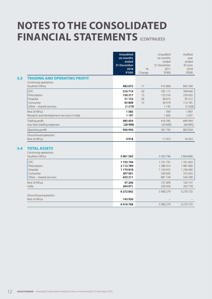## **NOTES TO THE CONSOLIDATED FINANCIAL STATEMENTS** (CONTINUED)

|     |                                                                                  | <b>Unaudited</b><br>six months<br>ended<br>31 December<br>2018<br><b>R'000</b> | $\frac{0}{0}$<br>Change | Unaudited<br>six months<br>ended<br>31 December<br>2017<br>R'000 | Audited<br>year<br>ended<br>30 June<br>2018<br>R'000    |
|-----|----------------------------------------------------------------------------------|--------------------------------------------------------------------------------|-------------------------|------------------------------------------------------------------|---------------------------------------------------------|
| 5.3 | <b>TRADING AND OPERATING PROFIT</b><br>Continuing operations:<br>Southern Africa | 482 672                                                                        | 17                      | 413 806                                                          | 845 540                                                 |
|     | OTC.<br>Prescription<br>Hospital<br>Consumer<br>Other - shared services          | 216 714<br>150 217<br>51 152<br>65 808<br>(1219)                               | 20<br>13<br>26<br>13    | 181 111<br>132 516<br>40 615<br>58419<br>1 1 4 5                 | 399 640<br>239 435<br>95 312<br>112 181<br>(1028)       |
|     | Rest of Africa<br>Research and development services in India                     | 1585<br>1 1 9 7                                                                |                         | 934<br>1 605                                                     | 1897<br>2 5 0 7                                         |
|     | Trading profit<br>Less: Non-trading expenses                                     | 485 454<br>(28498)                                                             |                         | 416 345<br>(24600)                                               | 849 944<br>(46895)                                      |
|     | Operating profit                                                                 | 456 956                                                                        |                         | 391 745                                                          | 803 049                                                 |
|     | Discontinued operation:<br>Rest of Africa                                        | 4918                                                                           |                         | 11915                                                            | 16433                                                   |
| 5.4 | <b>TOTAL ASSETS</b><br>Continuing operations:<br>Southern Africa                 | 5961565                                                                        |                         | 5 5 0 3 7 4 6                                                    | 5 844 806                                               |
|     | <b>OTC</b><br>Prescription<br>Hospital<br>Consumer<br>Other - shared services    | 1733746<br>2112789<br>1174818<br>307 001<br>633 211                            |                         | 1741791<br>1 386 414<br>1 1 6 3 6 5 2<br>330 695<br>881 194      | 1761603<br>1 987 006<br>1 236 482<br>315 425<br>544 290 |
|     | Rest of Africa<br>India                                                          | 47 206<br>264 071                                                              |                         | 151 609<br>250 924                                               | 163 141<br>262778                                       |
|     | Discontinued operation:<br>Rest of Africa                                        | 6 272 842<br>143 926                                                           |                         | 5 906 279                                                        | 6 270 725                                               |
|     |                                                                                  | 6416768                                                                        |                         | 5 906 279                                                        | 6 270 725                                               |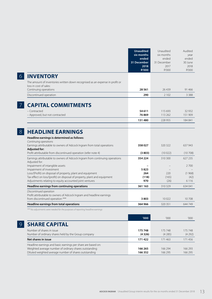|                                                                                                                                                                                                                                                                                                                                                                  | <b>Unaudited</b><br>six months<br>ended<br>31 December<br>2018<br><b>R'000</b> | Unaudited<br>six months<br>ended<br>31 December<br>2017<br>R'000 | Audited<br>year<br>ended<br>30 June<br>2018<br>R'000 |
|------------------------------------------------------------------------------------------------------------------------------------------------------------------------------------------------------------------------------------------------------------------------------------------------------------------------------------------------------------------|--------------------------------------------------------------------------------|------------------------------------------------------------------|------------------------------------------------------|
| <b>INVENTORY</b><br>The amount of inventories written down recognised as an expense in profit or                                                                                                                                                                                                                                                                 |                                                                                |                                                                  |                                                      |
| loss in cost of sales:                                                                                                                                                                                                                                                                                                                                           |                                                                                |                                                                  |                                                      |
| Continuing operations<br>Discontinued operation                                                                                                                                                                                                                                                                                                                  | 28 5 61<br>290                                                                 | 26 4 39<br>2 1 0 2                                               | 91 4 66<br>3 3 8 8                                   |
| <b>CAPITAL COMMITMENTS</b>                                                                                                                                                                                                                                                                                                                                       |                                                                                |                                                                  |                                                      |
| - Contracted<br>- Approved, but not contracted                                                                                                                                                                                                                                                                                                                   | 54 611<br>76869                                                                | 115 693<br>113 262                                               | 32 932<br>151 909                                    |
|                                                                                                                                                                                                                                                                                                                                                                  | 131480                                                                         | 228 955                                                          | 184 841                                              |
| <b>HEADLINE EARNINGS</b><br>Headline earnings is determined as follows:<br>Continuing operations<br>Earnings attributable to owners of Adcock Ingram from total operations<br><b>Adjusted for:</b>                                                                                                                                                               | 358027                                                                         | 320 322                                                          | 637 943                                              |
| Profit attributable from discontinued operation (refer note 4)                                                                                                                                                                                                                                                                                                   | (3803)                                                                         | (10022)                                                          | (10708)                                              |
| Earnings attributable to owners of Adcock Ingram from continuing operations<br>Adjusted for:<br>Impairment of intangible assets<br>Impairment of investment<br>Loss/(Profit) on disposal of property, plant and equipment<br>Tax effect on loss/(profit) on disposal of property, plant and equipment<br>Adjustments relating to equity accounted joint ventures | 354 224<br>5823<br>264<br>(118)<br>970                                         | 310 300<br>220<br>(165)<br>(26)                                  | 627 235<br>2700<br>(1968)<br>(42)<br>6 1 1 6         |
| Headline earnings from continuing operations                                                                                                                                                                                                                                                                                                                     | 361 163                                                                        | 310 329                                                          | 634 041                                              |
| Discontinued operation<br>Profit attributable to owners of Adcock Ingram and headline earnings<br>from discontinued operation ***                                                                                                                                                                                                                                | 3803                                                                           | 10022                                                            | 10708                                                |
| Headline earnings from total operations                                                                                                                                                                                                                                                                                                                          | 364 966                                                                        | 320 351                                                          | 644 749                                              |
| *** No adjustments were needed for the purposes of reporting headline earnings                                                                                                                                                                                                                                                                                   |                                                                                |                                                                  |                                                      |
|                                                                                                                                                                                                                                                                                                                                                                  | '000                                                                           | '000                                                             | '000                                                 |
| <b>SHARE CAPITAL</b><br>Number of shares in issue<br>Number of ordinary shares held by the Group company                                                                                                                                                                                                                                                         | 175 748<br>(4326)                                                              | 175 748<br>(4285)                                                | 175 748<br>(4292)                                    |
| Net shares in issue                                                                                                                                                                                                                                                                                                                                              | 171422                                                                         | 171 463                                                          | 171456                                               |
| Headline earnings and basic earnings per share are based on:<br>Weighted average number of ordinary shares outstanding<br>Diluted weighted average number of shares outstanding                                                                                                                                                                                  | 166 265<br>166 352                                                             | 166 294<br>166 295                                               | 166 293<br>166 295                                   |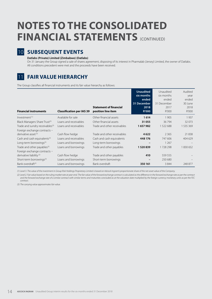## **NOTES TO THE CONSOLIDATED FINANCIAL STATEMENTS** (CONTINUED)



### 10 **SUBSEQUENT EVENTS**

#### **Datlabs (Private) Limited (Zimbabwe) (Datlabs)**

On 31 January the Group signed a sale of shares agreement, disposing of its interest in Pharmalab (Jersey) Limited, the owner of Datlabs. All conditions precedent were met and the proceeds have been received.

### 11 **FAIR VALUE HIERARCHY**

The Group classifies all financial instruments and its fair value hierarchy as follows:

| <b>Financial instruments</b>                | <b>Classification per IAS 39</b> | <b>Statement of financial</b><br>position line item | <b>Unaudited</b><br>six months<br>ended<br>31 December<br>2018<br><b>R'000</b> | Unaudited<br>six months<br>ended<br>31 December<br>2017<br>R'000 | Audited<br>year<br>ended<br>30 June<br>2018<br>R'000 |
|---------------------------------------------|----------------------------------|-----------------------------------------------------|--------------------------------------------------------------------------------|------------------------------------------------------------------|------------------------------------------------------|
| Investment <sup>(1)</sup>                   | Available for sale               | Other financial assets                              | 1614                                                                           | 1 9 0 5                                                          | 1937                                                 |
| Black Managers Share Trust <sup>(3)</sup>   | Loans and receivables            | Other financial assets                              | 31 055                                                                         | 36794                                                            | 32073                                                |
| Trade and sundry receivables <sup>(3)</sup> | Loans and receivables            | Trade and other receivables                         | 1657982                                                                        | 1 522 688                                                        | 1 535 369                                            |
| Foreign exchange contracts -                |                                  |                                                     |                                                                                |                                                                  |                                                      |
| derivative asset <sup>(2)</sup>             | Cash flow hedge                  | Trade and other receivables                         | 4622                                                                           | 2 3 6 5                                                          | 21 838                                               |
| Cash and cash equivalents <sup>(3)</sup>    | Loans and receivables            | Cash and cash equivalents                           | 448 176                                                                        | 747 606                                                          | 404 629                                              |
| Long-term borrowings <sup>(3)</sup>         | Loans and borrowings             | Long-term borrowings                                |                                                                                | 1 2 6 7                                                          |                                                      |
| Trade and other payables <sup>(3)</sup>     | Loans and borrowings             | Trade and other payables                            | 1520839                                                                        | 1728298                                                          | 1830652                                              |
| Foreign exchange contracts -                |                                  |                                                     |                                                                                |                                                                  |                                                      |
| derivative liability <sup>(2)</sup>         | Cash flow hedge                  | Trade and other payables                            | 410                                                                            | 559 555                                                          |                                                      |
| Short-term borrowings <sup>(3)</sup>        | Loans and borrowings             | Short-term borrowings                               |                                                                                | 250 680                                                          |                                                      |
| Bank overdraft <sup>(3)</sup>               | Loans and borrowings             | Bank overdraft                                      | 350 161                                                                        | 3844                                                             | 248 877                                              |

*(1) Level 3. The value of the investment in Group Risk Holdings Proprietary Limited is based on Adcock Ingram's proportionate share of the net asset value of the Company.*

*(2) Level 2. Fair value based on the ruling market rate at year-end. The fair value of the forward exchange contract is calculated as the difference in the forward exchange rate as per the contract and the forward exchange rate of a similar contract with similar terms and maturities concluded as at the valuation date multiplied by the foreign currency monetary units as per the FEC contract.*

*(3) The carrying value approximates fair value.*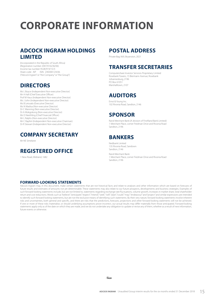## **CORPORATE INFORMATION**

### **ADCOCK INGRAM HOLDINGS LIMITED**

(Incorporated in the Republic of South Africa) (Registration number 2007/016236/06) Income tax number 9528/919/15/3 Share code: AIP ISIN: ZAE000123436 ("Adcock Ingram" or "the Company" or "the Group")

### **DIRECTORS**

Ms L Boyce (Independent Non-executive Director) Mr A Hall (Chief Executive Officer) Prof M Haus (Independent Non-executive Director) Ms J John (Independent Non-executive Director) Ms B Letsoalo (Executive Director) Ms N Madisa (Non-executive Director) Dr C Manning (Non-executive Director) Dr A Mokgokong (Non-executive Director) Ms D Neethling (Chief Financial Officer) Mr L Ralphs (Non-executive Director) Mr C Raphiri (Independent Non-executive Chairman) Dr R Stewart (Independent Non-executive Director)

### **COMPANY SECRETARY**

Mr NE Simelane

### **REGISTERED OFFICE**

1 New Road, Midrand, 1682

#### **POSTAL ADDRESS**

Private Bag X69, Bryanston, 2021

### **TRANSFER SECRETARIES**

Computershare Investor Services Proprietary Limited Rosebank Towers, 15 Biermann Avenue, Rosebank Johannesburg, 2196 PO Box 61051 Marshalltown, 2107

### **AUDITORS**

Ernst & Young Inc. 102 Rivonia Road, Sandton, 2146

### **SPONSOR**

Rand Merchant Bank (A division of FirstRand Bank Limited) 1 Merchant Place, corner Fredman Drive and Rivonia Road Sandton, 2196

### **BANKERS**

Nedbank Limited 135 Rivonia Road, Sandown Sandton, 2146

Rand Merchant Bank 1 Merchant Place, corner Fredman Drive and Rivonia Road Sandton, 2196

#### **FORWARD-LOOKING STATEMENTS**

Adcock Ingram may, in this document, make certain statements that are not historical facts and relate to analyses and other information which are based on forecasts of future results and estimates of amounts not yet determinable. These statements may also relate to our future prospects, developments and business strategies. Examples of such forward-looking statements include, but are not limited to, statements regarding exchange rate fluctuations, volume growth, increases in market share, total shareholder return and cost reductions. Words such as "believe", "anticipate", "expect", "intend", "seek", "will", "plan", "could", "may", "endeavour" and "project" and similar expressions are intended return and cost reductions. Word to identify such forward-looking statements, but are not the exclusive means of identifying such statements. By their very nature, forward-looking statements involve inherent risks and uncertainties, both general and specific, and there are risks that the predictions, forecasts, projections and other forward-looking statements will not be achieved. If one or more of these risks materialise, or should underlying assumptions prove incorrect, our actual results may differ materially from those anticipated. Forward-looking statements apply only as of the date on which they are made, and we do not undertake any obligation to update or revise any of them, whether as a result of new information, future events or otherwise.